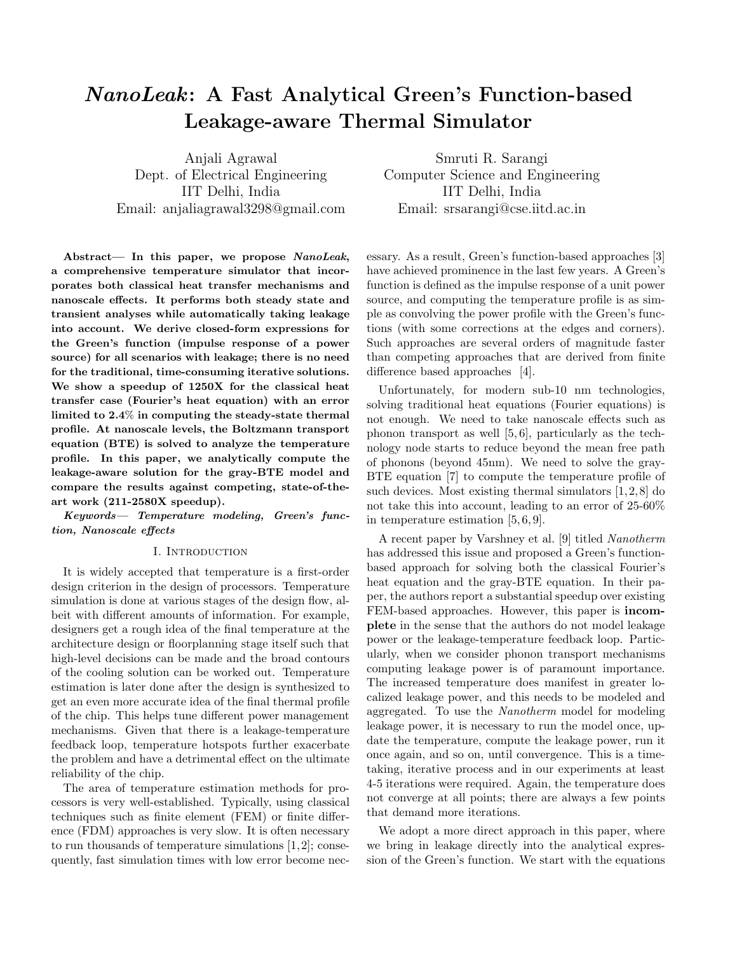# NanoLeak: A Fast Analytical Green's Function-based Leakage-aware Thermal Simulator

Anjali Agrawal Dept. of Electrical Engineering IIT Delhi, India Email: anjaliagrawal3298@gmail.com

Abstract— In this paper, we propose NanoLeak, a comprehensive temperature simulator that incorporates both classical heat transfer mechanisms and nanoscale effects. It performs both steady state and transient analyses while automatically taking leakage into account. We derive closed-form expressions for the Green's function (impulse response of a power source) for all scenarios with leakage; there is no need for the traditional, time-consuming iterative solutions. We show a speedup of 1250X for the classical heat transfer case (Fourier's heat equation) with an error limited to 2.4% in computing the steady-state thermal profile. At nanoscale levels, the Boltzmann transport equation (BTE) is solved to analyze the temperature profile. In this paper, we analytically compute the leakage-aware solution for the gray-BTE model and compare the results against competing, state-of-theart work (211-2580X speedup).

Keywords— Temperature modeling, Green's function, Nanoscale effects

#### I. Introduction

It is widely accepted that temperature is a first-order design criterion in the design of processors. Temperature simulation is done at various stages of the design flow, albeit with different amounts of information. For example, designers get a rough idea of the final temperature at the architecture design or floorplanning stage itself such that high-level decisions can be made and the broad contours of the cooling solution can be worked out. Temperature estimation is later done after the design is synthesized to get an even more accurate idea of the final thermal profile of the chip. This helps tune different power management mechanisms. Given that there is a leakage-temperature feedback loop, temperature hotspots further exacerbate the problem and have a detrimental effect on the ultimate reliability of the chip.

The area of temperature estimation methods for processors is very well-established. Typically, using classical techniques such as finite element (FEM) or finite difference (FDM) approaches is very slow. It is often necessary to run thousands of temperature simulations [1, 2]; consequently, fast simulation times with low error become nec-

Smruti R. Sarangi Computer Science and Engineering IIT Delhi, India Email: srsarangi@cse.iitd.ac.in

essary. As a result, Green's function-based approaches [3] have achieved prominence in the last few years. A Green's function is defined as the impulse response of a unit power source, and computing the temperature profile is as simple as convolving the power profile with the Green's functions (with some corrections at the edges and corners). Such approaches are several orders of magnitude faster than competing approaches that are derived from finite difference based approaches [4].

Unfortunately, for modern sub-10 nm technologies, solving traditional heat equations (Fourier equations) is not enough. We need to take nanoscale effects such as phonon transport as well [5, 6], particularly as the technology node starts to reduce beyond the mean free path of phonons (beyond 45nm). We need to solve the gray-BTE equation [7] to compute the temperature profile of such devices. Most existing thermal simulators  $[1, 2, 8]$  do not take this into account, leading to an error of 25-60% in temperature estimation [5, 6, 9].

A recent paper by Varshney et al. [9] titled Nanotherm has addressed this issue and proposed a Green's functionbased approach for solving both the classical Fourier's heat equation and the gray-BTE equation. In their paper, the authors report a substantial speedup over existing FEM-based approaches. However, this paper is incomplete in the sense that the authors do not model leakage power or the leakage-temperature feedback loop. Particularly, when we consider phonon transport mechanisms computing leakage power is of paramount importance. The increased temperature does manifest in greater localized leakage power, and this needs to be modeled and aggregated. To use the Nanotherm model for modeling leakage power, it is necessary to run the model once, update the temperature, compute the leakage power, run it once again, and so on, until convergence. This is a timetaking, iterative process and in our experiments at least 4-5 iterations were required. Again, the temperature does not converge at all points; there are always a few points that demand more iterations.

We adopt a more direct approach in this paper, where we bring in leakage directly into the analytical expression of the Green's function. We start with the equations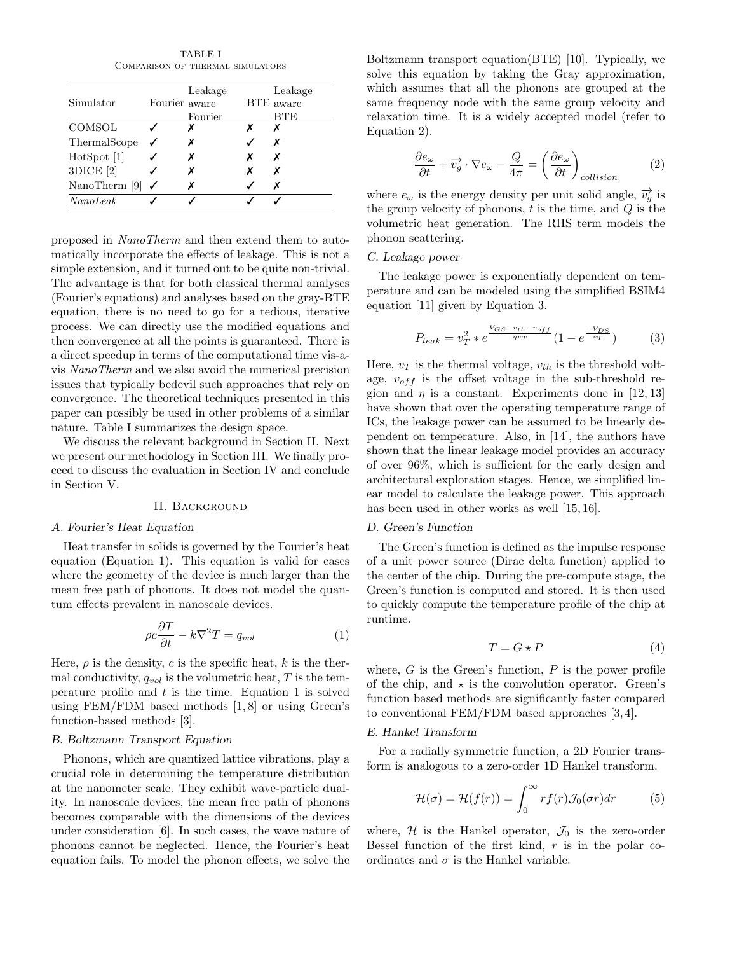TABLE I Comparison of thermal simulators

|               |               | Leakage | Leakage   |
|---------------|---------------|---------|-----------|
| Simulator     | Fourier aware |         | BTE aware |
|               |               | Fourier |           |
| COMSOL        |               |         | Х         |
| ThermalScope  |               | х       | х         |
| HotSpot [1]   |               | х       | х         |
| 3DICE [2]     |               | х       | х         |
| NanoTherm [9] |               |         | х         |
| NanoLeak      |               |         |           |

proposed in NanoTherm and then extend them to automatically incorporate the effects of leakage. This is not a simple extension, and it turned out to be quite non-trivial. The advantage is that for both classical thermal analyses (Fourier's equations) and analyses based on the gray-BTE equation, there is no need to go for a tedious, iterative process. We can directly use the modified equations and then convergence at all the points is guaranteed. There is a direct speedup in terms of the computational time vis-avis NanoTherm and we also avoid the numerical precision issues that typically bedevil such approaches that rely on convergence. The theoretical techniques presented in this paper can possibly be used in other problems of a similar nature. Table I summarizes the design space.

We discuss the relevant background in Section II. Next we present our methodology in Section III. We finally proceed to discuss the evaluation in Section IV and conclude in Section V.

## II. Background

#### A. Fourier's Heat Equation

Heat transfer in solids is governed by the Fourier's heat equation (Equation 1). This equation is valid for cases where the geometry of the device is much larger than the mean free path of phonons. It does not model the quantum effects prevalent in nanoscale devices.

$$
\rho c \frac{\partial T}{\partial t} - k \nabla^2 T = q_{vol} \tag{1}
$$

Here,  $\rho$  is the density, c is the specific heat, k is the thermal conductivity,  $q_{vol}$  is the volumetric heat, T is the temperature profile and  $t$  is the time. Equation 1 is solved using FEM/FDM based methods [1, 8] or using Green's function-based methods [3].

#### B. Boltzmann Transport Equation

Phonons, which are quantized lattice vibrations, play a crucial role in determining the temperature distribution at the nanometer scale. They exhibit wave-particle duality. In nanoscale devices, the mean free path of phonons becomes comparable with the dimensions of the devices under consideration [6]. In such cases, the wave nature of phonons cannot be neglected. Hence, the Fourier's heat equation fails. To model the phonon effects, we solve the Boltzmann transport equation(BTE) [10]. Typically, we solve this equation by taking the Gray approximation, which assumes that all the phonons are grouped at the same frequency node with the same group velocity and relaxation time. It is a widely accepted model (refer to Equation 2).

$$
\frac{\partial e_{\omega}}{\partial t} + \overrightarrow{v_g} \cdot \nabla e_{\omega} - \frac{Q}{4\pi} = \left(\frac{\partial e_{\omega}}{\partial t}\right)_{collision}
$$
 (2)

where  $e_{\omega}$  is the energy density per unit solid angle,  $\overrightarrow{v_q}$  is the group velocity of phonons,  $t$  is the time, and  $Q$  is the volumetric heat generation. The RHS term models the phonon scattering.

## C. Leakage power

The leakage power is exponentially dependent on temperature and can be modeled using the simplified BSIM4 equation [11] given by Equation 3.

$$
P_{leak} = v_T^2 * e^{\frac{V_{GS} - v_{th} - v_{off}}{nv_T}} (1 - e^{\frac{-V_{DS}}{v_T}})
$$
 (3)

Here,  $v_T$  is the thermal voltage,  $v_{th}$  is the threshold voltage,  $v_{off}$  is the offset voltage in the sub-threshold region and  $\eta$  is a constant. Experiments done in [12, 13] have shown that over the operating temperature range of ICs, the leakage power can be assumed to be linearly dependent on temperature. Also, in [14], the authors have shown that the linear leakage model provides an accuracy of over 96%, which is sufficient for the early design and architectural exploration stages. Hence, we simplified linear model to calculate the leakage power. This approach has been used in other works as well [15, 16].

#### D. Green's Function

The Green's function is defined as the impulse response of a unit power source (Dirac delta function) applied to the center of the chip. During the pre-compute stage, the Green's function is computed and stored. It is then used to quickly compute the temperature profile of the chip at runtime.

$$
T = G \star P \tag{4}
$$

where,  $G$  is the Green's function,  $P$  is the power profile of the chip, and  $\star$  is the convolution operator. Green's function based methods are significantly faster compared to conventional FEM/FDM based approaches [3, 4].

## E. Hankel Transform

For a radially symmetric function, a 2D Fourier transform is analogous to a zero-order 1D Hankel transform.

$$
\mathcal{H}(\sigma) = \mathcal{H}(f(r)) = \int_0^\infty r f(r) \mathcal{J}_0(\sigma r) dr \tag{5}
$$

where,  $\mathcal H$  is the Hankel operator,  $\mathcal J_0$  is the zero-order Bessel function of the first kind,  $r$  is in the polar coordinates and  $\sigma$  is the Hankel variable.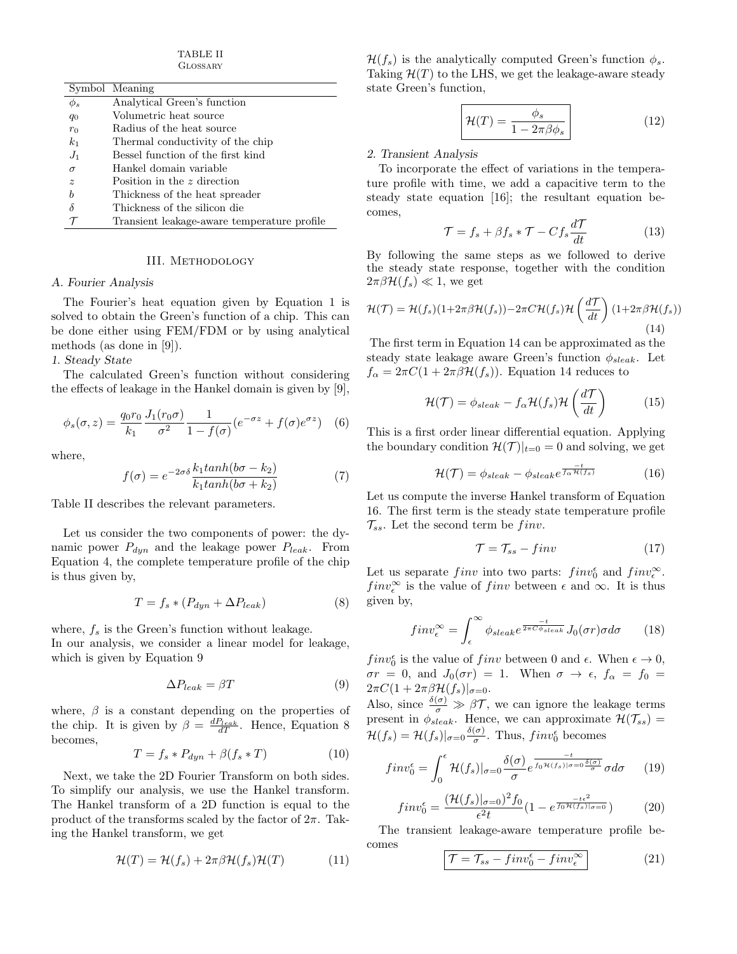TABLE II Glossary

|             | Symbol Meaning                              |
|-------------|---------------------------------------------|
| $\phi_s$    | Analytical Green's function                 |
| $q_0$       | Volumetric heat source                      |
| $r_0$       | Radius of the heat source                   |
| $k_{1}$     | Thermal conductivity of the chip            |
| $J_1$       | Bessel function of the first kind           |
| $\sigma$    | Hankel domain variable                      |
| $\tilde{z}$ | Position in the $z$ direction               |
| Ь           | Thickness of the heat spreader              |
| δ           | Thickness of the silicon die                |
|             | Transient leakage-aware temperature profile |

#### III. Methodology

#### A. Fourier Analysis

The Fourier's heat equation given by Equation 1 is solved to obtain the Green's function of a chip. This can be done either using FEM/FDM or by using analytical methods (as done in [9]).

1. Steady State

The calculated Green's function without considering the effects of leakage in the Hankel domain is given by [9],

$$
\phi_s(\sigma, z) = \frac{q_0 r_0}{k_1} \frac{J_1(r_0 \sigma)}{\sigma^2} \frac{1}{1 - f(\sigma)} \left( e^{-\sigma z} + f(\sigma) e^{\sigma z} \right) \tag{6}
$$

where,

$$
f(\sigma) = e^{-2\sigma\delta} \frac{k_1 \tanh(b\sigma - k_2)}{k_1 \tanh(b\sigma + k_2)}\tag{7}
$$

Table II describes the relevant parameters.

Let us consider the two components of power: the dynamic power  $P_{dyn}$  and the leakage power  $P_{leak}$ . From Equation 4, the complete temperature profile of the chip is thus given by,

$$
T = f_s * (P_{dyn} + \Delta P_{leak})
$$
 (8)

where,  $f_s$  is the Green's function without leakage. In our analysis, we consider a linear model for leakage, which is given by Equation 9

$$
\Delta P_{leak} = \beta T \tag{9}
$$

where,  $\beta$  is a constant depending on the properties of the chip. It is given by  $\beta = \frac{dP_{leak}}{dT}$ . Hence, Equation 8 becomes,

$$
T = f_s * P_{dyn} + \beta(f_s * T) \tag{10}
$$

Next, we take the 2D Fourier Transform on both sides. To simplify our analysis, we use the Hankel transform. The Hankel transform of a 2D function is equal to the product of the transforms scaled by the factor of  $2\pi$ . Taking the Hankel transform, we get

$$
\mathcal{H}(T) = \mathcal{H}(f_s) + 2\pi\beta\mathcal{H}(f_s)\mathcal{H}(T) \tag{11}
$$

 $\mathcal{H}(f_s)$  is the analytically computed Green's function  $\phi_s$ . Taking  $\mathcal{H}(T)$  to the LHS, we get the leakage-aware steady state Green's function,

$$
\mathcal{H}(T) = \frac{\phi_s}{1 - 2\pi\beta\phi_s} \tag{12}
$$

#### 2. Transient Analysis

To incorporate the effect of variations in the temperature profile with time, we add a capacitive term to the steady state equation [16]; the resultant equation becomes,

$$
\mathcal{T} = f_s + \beta f_s * \mathcal{T} - C f_s \frac{d\mathcal{T}}{dt}
$$
 (13)

By following the same steps as we followed to derive the steady state response, together with the condition  $2\pi\beta\mathcal{H}(f_s) \ll 1$ , we get

$$
\mathcal{H}(\mathcal{T}) = \mathcal{H}(f_s)(1+2\pi\beta\mathcal{H}(f_s)) - 2\pi C \mathcal{H}(f_s)\mathcal{H}\left(\frac{d\mathcal{T}}{dt}\right)(1+2\pi\beta\mathcal{H}(f_s))\tag{14}
$$

The first term in Equation 14 can be approximated as the steady state leakage aware Green's function  $\phi_{sheak}$ . Let  $f_{\alpha} = 2\pi C(1 + 2\pi\beta\mathcal{H}(f_s))$ . Equation 14 reduces to

$$
\mathcal{H}(\mathcal{T}) = \phi_{sheak} - f_{\alpha} \mathcal{H}(f_s) \mathcal{H}\left(\frac{d\mathcal{T}}{dt}\right)
$$
 (15)

This is a first order linear differential equation. Applying the boundary condition  $\mathcal{H}(\mathcal{T})|_{t=0} = 0$  and solving, we get

$$
\mathcal{H}(\mathcal{T}) = \phi_{sheak} - \phi_{seake} e^{\frac{-t}{f_{\alpha} \mathcal{H}(f_s)}} \tag{16}
$$

Let us compute the inverse Hankel transform of Equation 16. The first term is the steady state temperature profile  $\mathcal{T}_{ss}$ . Let the second term be finv.

$$
\mathcal{T} = \mathcal{T}_{ss} - \text{fin}v \tag{17}
$$

Let us separate  $finv$  into two parts:  $finv_0^{\epsilon}$  and  $finv_{\epsilon}^{\infty}$ .  $finv_{\epsilon}^{\infty}$  is the value of  $finv$  between  $\epsilon$  and  $\infty$ . It is thus given by,

$$
fin\nu_{\epsilon}^{\infty} = \int_{\epsilon}^{\infty} \phi_{sheak} e^{\frac{-t}{2\pi C\phi_{sheak}}} J_0(\sigma r) \sigma d\sigma \qquad (18)
$$

 $finv_0^{\epsilon}$  is the value of  $finv$  between 0 and  $\epsilon$ . When  $\epsilon \to 0$ ,  $\sigma r = 0$ , and  $J_0(\sigma r) = 1$ . When  $\sigma \to \epsilon$ ,  $f_\alpha = f_0 =$  $2\pi C(1+2\pi\beta\mathcal{H}(f_s)|_{\sigma=0}.$ 

Also, since  $\frac{\delta(\sigma)}{\sigma} \gg \beta \mathcal{T}$ , we can ignore the leakage terms present in  $\phi_{sheak}$ . Hence, we can approximate  $\mathcal{H}(\mathcal{T}_{ss}) =$  $\mathcal{H}(f_s) = \mathcal{H}(f_s)|_{\sigma=0} \frac{\delta(\sigma)}{\sigma}$  $\frac{(\sigma)}{\sigma}$ . Thus,  $finv_0^{\epsilon}$  becomes

$$
finv_0^{\epsilon} = \int_0^{\epsilon} \mathcal{H}(f_s)|_{\sigma=0} \frac{\delta(\sigma)}{\sigma} e^{\frac{-t}{f_0 \mathcal{H}(f_s)|_{\sigma=0} \frac{\delta(\sigma)}{\sigma}} \sigma d\sigma} \qquad (19)
$$

$$
finv_0^{\epsilon} = \frac{(\mathcal{H}(f_s)|_{\sigma=0})^2 f_0}{\epsilon^2 t} (1 - e^{\frac{-t\epsilon^2}{f_0 \mathcal{H}(f_s)|_{\sigma=0}}})
$$
(20)

The transient leakage-aware temperature profile becomes

$$
\boxed{\mathcal{T} = \mathcal{T}_{ss} - \operatorname{fin} v_0^{\epsilon} - \operatorname{fin} v_{\epsilon}^{\infty}} \tag{21}
$$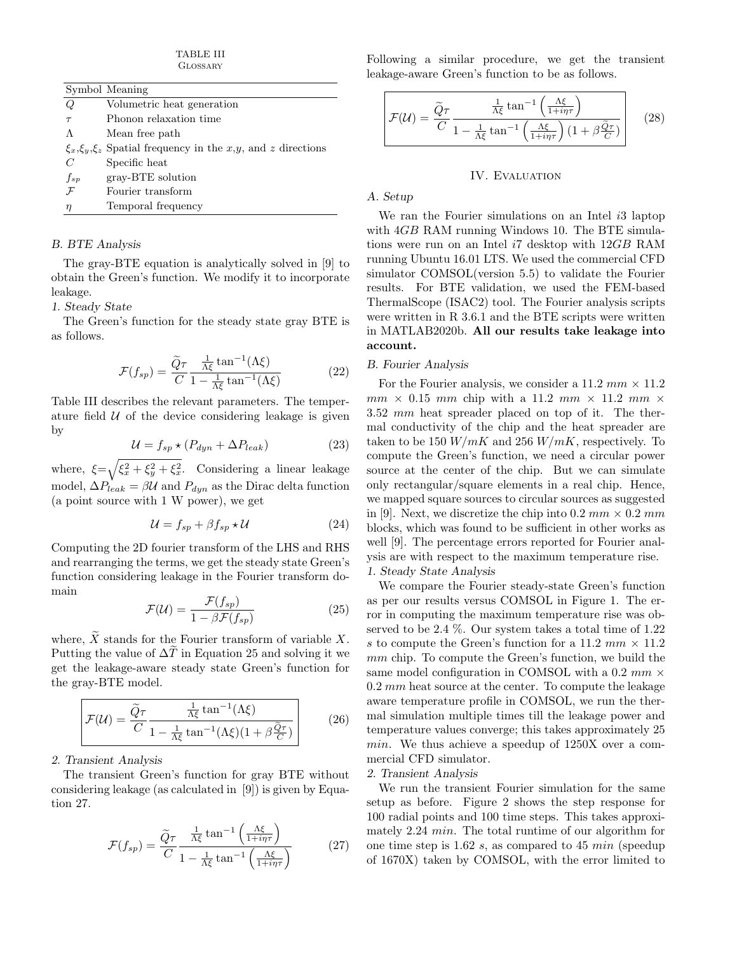TABLE III Glossary

|              | Symbol Meaning                                                       |
|--------------|----------------------------------------------------------------------|
| Q            | Volumetric heat generation                                           |
| $\tau$       | Phonon relaxation time                                               |
| Λ            | Mean free path                                                       |
|              | $\xi_x, \xi_y, \xi_z$ Spatial frequency in the x,y, and z directions |
| C            | Specific heat                                                        |
| $f_{sp}$     | gray-BTE solution                                                    |
| $\mathcal F$ | Fourier transform                                                    |
| $\eta$       | Temporal frequency                                                   |
|              |                                                                      |

# B. BTE Analysis

The gray-BTE equation is analytically solved in [9] to obtain the Green's function. We modify it to incorporate leakage.

1. Steady State

The Green's function for the steady state gray BTE is as follows.

$$
\mathcal{F}(f_{sp}) = \frac{\tilde{Q}\tau}{C} \frac{\frac{1}{\Lambda\xi} \tan^{-1}(\Lambda\xi)}{1 - \frac{1}{\Lambda\xi} \tan^{-1}(\Lambda\xi)}
$$
(22)

Table III describes the relevant parameters. The temperature field  $U$  of the device considering leakage is given by

$$
\mathcal{U} = f_{sp} \star (P_{dyn} + \Delta P_{leak}) \tag{23}
$$

where,  $\xi = \sqrt{\xi_x^2 + \xi_y^2 + \xi_x^2}$ . Considering a linear leakage model,  $\Delta P_{leak} = \beta \mathcal{U}$  and  $P_{dyn}$  as the Dirac delta function (a point source with 1 W power), we get

$$
\mathcal{U} = f_{sp} + \beta f_{sp} \star \mathcal{U}
$$
 (24)

Computing the 2D fourier transform of the LHS and RHS and rearranging the terms, we get the steady state Green's function considering leakage in the Fourier transform domain

$$
\mathcal{F}(\mathcal{U}) = \frac{\mathcal{F}(f_{sp})}{1 - \beta \mathcal{F}(f_{sp})}
$$
\n(25)

where,  $\overline{X}$  stands for the Fourier transform of variable  $X$ . Putting the value of  $\Delta T$  in Equation 25 and solving it we get the leakage-aware steady state Green's function for the gray-BTE model.

$$
\mathcal{F}(\mathcal{U}) = \frac{\tilde{Q}\tau}{C} \frac{\frac{1}{\Lambda\xi} \tan^{-1}(\Lambda\xi)}{1 - \frac{1}{\Lambda\xi} \tan^{-1}(\Lambda\xi)(1 + \beta \frac{\tilde{Q}\tau}{C})}
$$
(26)

# 2. Transient Analysis

The transient Green's function for gray BTE without considering leakage (as calculated in [9]) is given by Equation 27.

$$
\mathcal{F}(f_{sp}) = \frac{\widetilde{Q}\tau}{C} \frac{\frac{1}{\Lambda\xi} \tan^{-1} \left(\frac{\Lambda\xi}{1+i\eta\tau}\right)}{1 - \frac{1}{\Lambda\xi} \tan^{-1} \left(\frac{\Lambda\xi}{1+i\eta\tau}\right)} \tag{27}
$$

Following a similar procedure, we get the transient leakage-aware Green's function to be as follows.

$$
\mathcal{F}(\mathcal{U}) = \frac{\widetilde{Q}\tau}{C} \frac{\frac{1}{\Lambda\xi} \tan^{-1} \left(\frac{\Lambda\xi}{1+i\eta\tau}\right)}{1 - \frac{1}{\Lambda\xi} \tan^{-1} \left(\frac{\Lambda\xi}{1+i\eta\tau}\right) \left(1 + \beta \frac{\widetilde{Q}\tau}{C}\right)} \tag{28}
$$

#### IV. EVALUATION

# A. Setup

We ran the Fourier simulations on an Intel i<sub>3</sub> laptop with  $4GB$  RAM running Windows 10. The BTE simulations were run on an Intel i7 desktop with 12GB RAM running Ubuntu 16.01 LTS. We used the commercial CFD simulator COMSOL(version 5.5) to validate the Fourier results. For BTE validation, we used the FEM-based ThermalScope (ISAC2) tool. The Fourier analysis scripts were written in R 3.6.1 and the BTE scripts were written in MATLAB2020b. All our results take leakage into account.

# B. Fourier Analysis

For the Fourier analysis, we consider a 11.2  $mm \times 11.2$  $mm \times 0.15$  mm chip with a 11.2 mm  $\times$  11.2 mm  $\times$ 3.52 mm heat spreader placed on top of it. The thermal conductivity of the chip and the heat spreader are taken to be 150  $W/mK$  and 256  $W/mK$ , respectively. To compute the Green's function, we need a circular power source at the center of the chip. But we can simulate only rectangular/square elements in a real chip. Hence, we mapped square sources to circular sources as suggested in [9]. Next, we discretize the chip into  $0.2 \, mm \times 0.2 \, mm$ blocks, which was found to be sufficient in other works as well [9]. The percentage errors reported for Fourier analysis are with respect to the maximum temperature rise. 1. Steady State Analysis

We compare the Fourier steady-state Green's function as per our results versus COMSOL in Figure 1. The error in computing the maximum temperature rise was observed to be 2.4 %. Our system takes a total time of 1.22 s to compute the Green's function for a 11.2 mm  $\times$  11.2 mm chip. To compute the Green's function, we build the same model configuration in COMSOL with a 0.2  $mm \times$  $0.2 \, mm$  heat source at the center. To compute the leakage aware temperature profile in COMSOL, we run the thermal simulation multiple times till the leakage power and temperature values converge; this takes approximately 25 min. We thus achieve a speedup of 1250X over a commercial CFD simulator.

# 2. Transient Analysis

We run the transient Fourier simulation for the same setup as before. Figure 2 shows the step response for 100 radial points and 100 time steps. This takes approximately 2.24 min. The total runtime of our algorithm for one time step is 1.62 s, as compared to 45 min (speedup of 1670X) taken by COMSOL, with the error limited to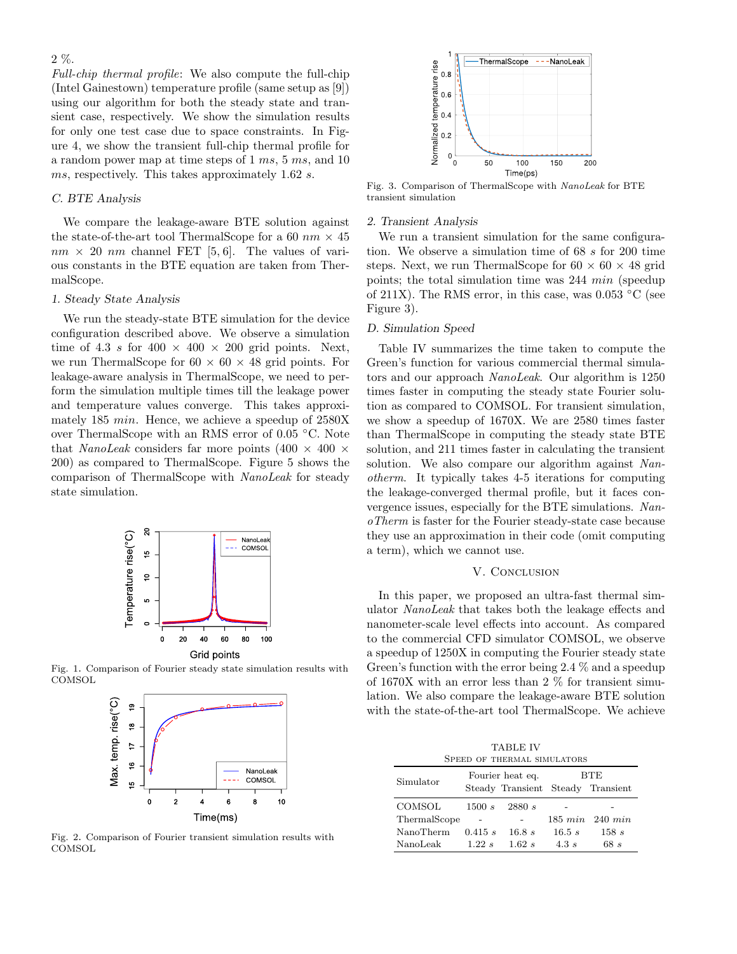2 %.

Full-chip thermal profile: We also compute the full-chip (Intel Gainestown) temperature profile (same setup as [9]) using our algorithm for both the steady state and transient case, respectively. We show the simulation results for only one test case due to space constraints. In Figure 4, we show the transient full-chip thermal profile for a random power map at time steps of 1 ms, 5 ms, and 10 ms, respectively. This takes approximately 1.62 s.

# C. BTE Analysis

We compare the leakage-aware BTE solution against the state-of-the-art tool ThermalScope for a 60  $nm \times 45$  $nm \times 20$  nm channel FET [5, 6]. The values of various constants in the BTE equation are taken from ThermalScope.

## 1. Steady State Analysis

We run the steady-state BTE simulation for the device configuration described above. We observe a simulation time of 4.3 s for  $400 \times 400 \times 200$  grid points. Next, we run ThermalScope for  $60 \times 60 \times 48$  grid points. For leakage-aware analysis in ThermalScope, we need to perform the simulation multiple times till the leakage power and temperature values converge. This takes approximately 185 min. Hence, we achieve a speedup of 2580X over ThermalScope with an RMS error of 0.05 ◦C. Note that *NanoLeak* considers far more points  $(400 \times 400 \times$ 200) as compared to ThermalScope. Figure 5 shows the comparison of ThermalScope with NanoLeak for steady state simulation.



Fig. 1. Comparison of Fourier steady state simulation results with **COMSOL** 



Fig. 2. Comparison of Fourier transient simulation results with **COMSOL** 



Fig. 3. Comparison of ThermalScope with NanoLeak for BTE transient simulation

#### 2. Transient Analysis

We run a transient simulation for the same configuration. We observe a simulation time of 68 s for 200 time steps. Next, we run ThermalScope for  $60 \times 60 \times 48$  grid points; the total simulation time was 244 min (speedup of 211X). The RMS error, in this case, was  $0.053$  °C (see Figure 3).

#### D. Simulation Speed

Table IV summarizes the time taken to compute the Green's function for various commercial thermal simulators and our approach NanoLeak. Our algorithm is 1250 times faster in computing the steady state Fourier solution as compared to COMSOL. For transient simulation, we show a speedup of 1670X. We are 2580 times faster than ThermalScope in computing the steady state BTE solution, and 211 times faster in calculating the transient solution. We also compare our algorithm against Nanotherm. It typically takes 4-5 iterations for computing the leakage-converged thermal profile, but it faces convergence issues, especially for the BTE simulations. NanoTherm is faster for the Fourier steady-state case because they use an approximation in their code (omit computing a term), which we cannot use.

#### V. CONCLUSION

In this paper, we proposed an ultra-fast thermal simulator NanoLeak that takes both the leakage effects and nanometer-scale level effects into account. As compared to the commercial CFD simulator COMSOL, we observe a speedup of 1250X in computing the Fourier steady state Green's function with the error being 2.4 % and a speedup of 1670X with an error less than 2 % for transient simulation. We also compare the leakage-aware BTE solution with the state-of-the-art tool ThermalScope. We achieve

TABLE IV Speed of thermal simulators

| Simulator    | Fourier heat eq. |        | BTE<br>Steady Transient Steady Transient |                            |
|--------------|------------------|--------|------------------------------------------|----------------------------|
| COMSOL       | 1500 s           | 2880 s |                                          |                            |
| ThermalScope |                  |        |                                          | $185 \; min \; 240 \; min$ |
| NanoTherm    | 0.415 s          | 16.8 s | 16.5 s                                   | 158 s                      |
| NanoLeak     | 1.22 s           | 1.62 s | 4.3s                                     | 68 s                       |